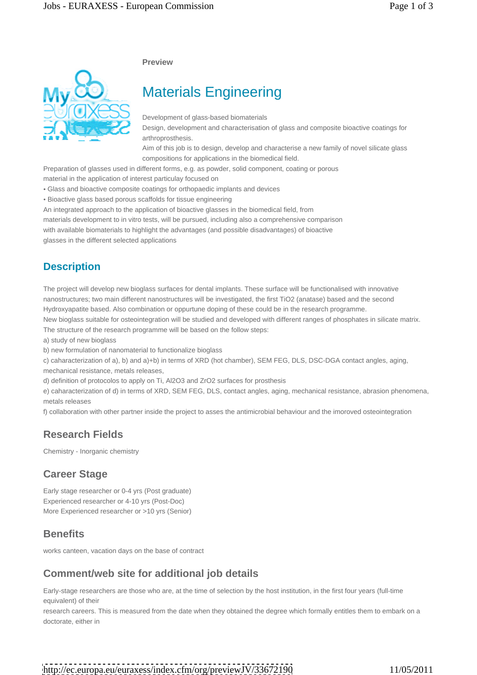**Preview**



# Materials Engineering

Development of glass-based biomaterials

Design, development and characterisation of glass and composite bioactive coatings for arthroprosthesis.

Aim of this job is to design, develop and characterise a new family of novel silicate glass compositions for applications in the biomedical field.

Preparation of glasses used in different forms, e.g. as powder, solid component, coating or porous

material in the application of interest particulay focused on

Glass and bioactive composite coatings for orthopaedic implants and devices

Bioactive glass based porous scaffolds for tissue engineering

An integrated approach to the application of bioactive glasses in the biomedical field, from

materials development to in vitro tests, will be pursued, including also a comprehensive comparison

with available biomaterials to highlight the advantages (and possible disadvantages) of bioactive

glasses in the different selected applications

# **Description**

The project will develop new bioglass surfaces for dental implants. These surface will be functionalised with innovative nanostructures; two main different nanostructures will be investigated, the first TiO2 (anatase) based and the second Hydroxyapatite based. Also combination or oppurtune doping of these could be in the research programme.

New bioglass suitable for osteointegration will be studied and developed with different ranges of phosphates in silicate matrix. The structure of the research programme will be based on the follow steps:

a) study of new bioglass

b) new formulation of nanomaterial to functionalize bioglass

c) caharacterization of a), b) and a)+b) in terms of XRD (hot chamber), SEM FEG, DLS, DSC-DGA contact angles, aging, mechanical resistance, metals releases,

d) definition of protocolos to apply on Ti, Al2O3 and ZrO2 surfaces for prosthesis

e) caharacterization of d) in terms of XRD, SEM FEG, DLS, contact angles, aging, mechanical resistance, abrasion phenomena, metals releases

f) collaboration with other partner inside the project to asses the antimicrobial behaviour and the imoroved osteointegration

# **Research Fields**

Chemistry - Inorganic chemistry

# **Career Stage**

Early stage researcher or 0-4 yrs (Post graduate) Experienced researcher or 4-10 yrs (Post-Doc) More Experienced researcher or >10 yrs (Senior)

# **Benefits**

works canteen, vacation days on the base of contract

# **Comment/web site for additional job details**

Early-stage researchers are those who are, at the time of selection by the host institution, in the first four years (full-time equivalent) of their

research careers. This is measured from the date when they obtained the degree which formally entitles them to embark on a doctorate, either in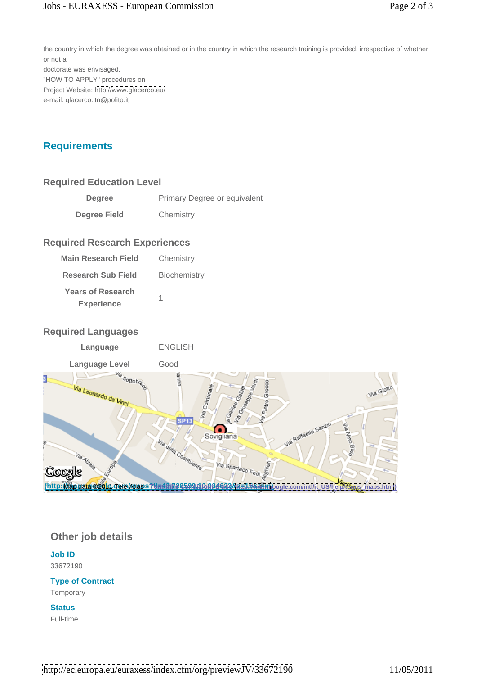the country in which the degree was obtained or in the country in which the research training is provided, irrespective of whether or not a doctorate was envisaged. "HOW TO APPLY" procedures on Project Website:<http://www.glacerco.eu/> e-mail: glacerco.itn@polito.it

# **Requirements**

#### **Required Education Level**

| <b>Degree</b>       | Primary Degree or equivalent |  |
|---------------------|------------------------------|--|
| <b>Degree Field</b> | Chemistry                    |  |

#### **Required Research Experiences**

#### **Required Languages**

|--|



#### **Other job details**

**Job ID** 33672190

### **Type of Contract**

Temporary

#### **Status and Status** and Status and Status and Status and Status and Status and Status and Status and Status and Sta

Full-time